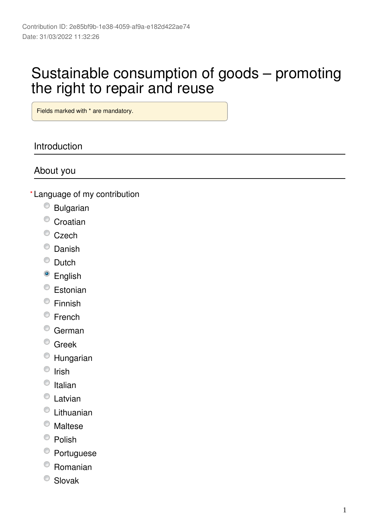# Sustainable consumption of goods – promoting the right to repair and reuse

Fields marked with \* are mandatory.

## Introduction

## About you

- Language of my contribution **\***
	- Bulgarian
	- <sup>O</sup> Croatian
	- $\bullet$  Czech
	- C Danish
	- $\bullet$  Dutch
	- <sup>o</sup> English
	- Estonian
	- <sup>©</sup> Finnish
	- $\circ$  French
	- German
	- <sup>©</sup> Greek
	- Hungarian
	- $\circ$  Irish
	- $\circ$  Italian
	- C Latvian
	- Lithuanian
	- Maltese
	- $\bullet$  Polish
	- <sup>●</sup> Portuguese
	- Romanian
	- <sup>O</sup> Slovak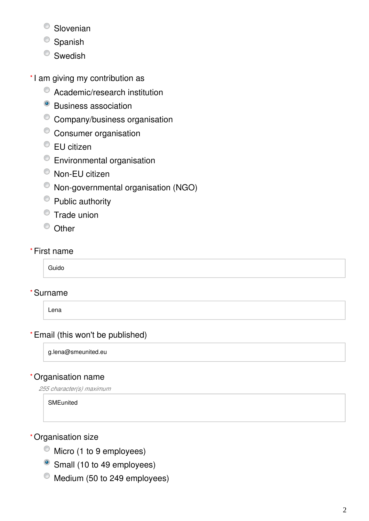- <sup>O</sup> Slovenian
- <sup>O</sup> Spanish
- <sup>O</sup> Swedish
- \*I am giving my contribution as
	- Academic/research institution
	- <sup>o</sup> Business association
	- <sup>©</sup> Company/business organisation
	- Consumer organisation
	- <sup>●</sup> EU citizen
	- Environmental organisation
	- <sup>O</sup> Non-EU citizen
	- Non-governmental organisation (NGO)
	- Public authority
	- $\bullet$  Trade union
	- <sup>O</sup> Other

### First name **\***

Guido

### Surname **\***

Lena

## Email (this won't be published) **\***

g.lena@smeunited.eu

### Organisation name **\***

*255 character(s) maximum*

**SMEunited** 

### Organisation size **\***

- $\bullet$  Micro (1 to 9 employees)
- Small (10 to 49 employees)
- $^{\circ}$  Medium (50 to 249 employees)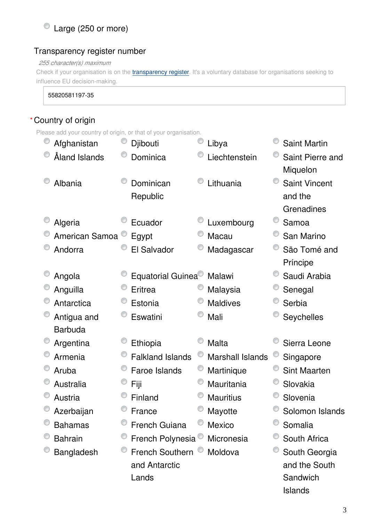## Large (250 or more)

### Transparency register number

*255 character(s) maximum*

Check if your organisation is on the *[transparency register](http://ec.europa.eu/transparencyregister/public/homePage.do?redir=false&locale=en)*. It's a voluntary database for organisations seeking to influence EU decision-making.

55820581197-35

## Country of origin **\***

Please add your country of origin, or that of your organisation.

| Afghanistan    | Djibouti                      | Libya                   | <b>Saint Martin</b>  |
|----------------|-------------------------------|-------------------------|----------------------|
| Åland Islands  | Dominica                      | Liechtenstein           | Saint Pierre and     |
|                |                               |                         | Miquelon             |
| Albania        | Dominican                     | Lithuania               | <b>Saint Vincent</b> |
|                | Republic                      |                         | and the              |
|                |                               |                         | Grenadines           |
| Algeria        | Ecuador                       | Luxembourg              | Samoa                |
| American Samoa | Egypt                         | Macau                   | San Marino           |
| Andorra        | El Salvador                   | Madagascar              | São Tomé and         |
|                |                               |                         | Príncipe             |
| Angola         | Equatorial Guinea             | Malawi                  | Saudi Arabia         |
| Anguilla       | <b>Eritrea</b>                | Malaysia                | Senegal              |
| Antarctica     | Estonia                       | <b>Maldives</b>         | Serbia               |
| Antigua and    | Eswatini                      | Mali                    | Seychelles           |
| <b>Barbuda</b> |                               |                         |                      |
| Argentina      | Ethiopia                      | Malta                   | Sierra Leone         |
| Armenia        | <b>Falkland Islands</b>       | <b>Marshall Islands</b> | Singapore            |
| Aruba          | Faroe Islands                 | Martinique              | <b>Sint Maarten</b>  |
| Australia      | Fiji                          | Mauritania              | Slovakia             |
| Austria        | Finland                       | <b>Mauritius</b>        | Slovenia             |
| Azerbaijan     | France                        | Mayotte                 | Solomon Islands      |
| <b>Bahamas</b> | <b>French Guiana</b>          | Mexico                  | Somalia              |
| <b>Bahrain</b> | French Polynesia <sup>®</sup> | Micronesia              | South Africa         |
| Bangladesh     | French Southern <sup>®</sup>  | Moldova                 | South Georgia        |
|                | and Antarctic                 |                         | and the South        |
|                | Lands                         |                         | Sandwich             |
|                |                               |                         | Islands              |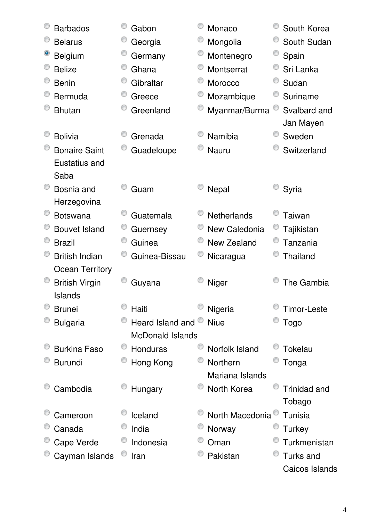| <b>Barbados</b>        | Gabon                   | Monaco             | South Korea         |
|------------------------|-------------------------|--------------------|---------------------|
| <b>Belarus</b>         | Georgia                 | Mongolia           | South Sudan         |
| <b>Belgium</b>         | Germany                 | Montenegro         | Spain               |
| <b>Belize</b>          | Ghana                   | Montserrat         | Sri Lanka           |
| <b>Benin</b>           | Gibraltar               | Morocco            | Sudan               |
| Bermuda                | Greece                  | Mozambique         | Suriname            |
| <b>Bhutan</b>          | Greenland               | Myanmar/Burma      | Svalbard and        |
|                        |                         |                    | Jan Mayen           |
| <b>Bolivia</b>         | Grenada                 | <b>Namibia</b>     | Sweden              |
| <b>Bonaire Saint</b>   | Guadeloupe              | <b>Nauru</b>       | Switzerland         |
| Eustatius and          |                         |                    |                     |
| Saba                   |                         |                    |                     |
| Bosnia and             | Guam                    | Nepal              | Syria               |
| Herzegovina            |                         |                    |                     |
| <b>Botswana</b>        | Guatemala               | <b>Netherlands</b> | Taiwan              |
| <b>Bouvet Island</b>   | Guernsey                | New Caledonia      | Tajikistan          |
| <b>Brazil</b>          | Guinea                  | New Zealand        | Tanzania            |
| <b>British Indian</b>  | Guinea-Bissau           | Nicaragua          | <b>Thailand</b>     |
| <b>Ocean Territory</b> |                         |                    |                     |
| <b>British Virgin</b>  | Guyana                  | Niger              | The Gambia          |
| <b>Islands</b>         |                         |                    |                     |
| <b>Brunei</b>          | Haiti                   | Nigeria            | Timor-Leste         |
| <b>Bulgaria</b>        | Heard Island and        | <b>Niue</b>        | Togo                |
|                        | <b>McDonald Islands</b> |                    |                     |
| <b>Burkina Faso</b>    | <b>Honduras</b>         | Norfolk Island     | Tokelau             |
| <b>Burundi</b>         | Hong Kong               | Northern           | Tonga               |
|                        |                         | Mariana Islands    |                     |
| Cambodia               | Hungary                 | North Korea        | <b>Trinidad and</b> |
|                        |                         |                    | Tobago              |
| Cameroon               | Iceland                 | North Macedonia    | Tunisia             |
| Canada                 | India                   | Norway             | <b>Turkey</b>       |
| Cape Verde             | Indonesia               | Oman               | Turkmenistan        |
| Cayman Islands         | Iran                    | Pakistan           | Turks and           |
|                        |                         |                    | Caicos Islands      |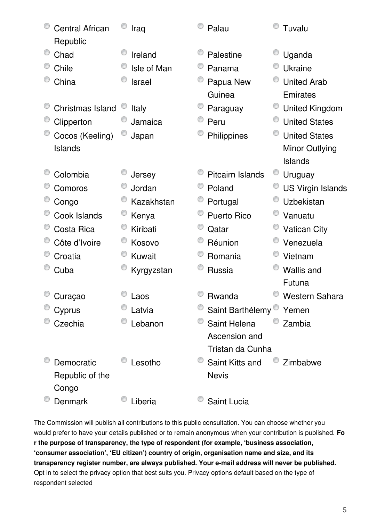| <b>Central African</b><br>Republic | Iraq        | Palau                         | Tuvalu                   |
|------------------------------------|-------------|-------------------------------|--------------------------|
| Chad                               | Ireland     | Palestine                     | Uganda                   |
| Chile                              | Isle of Man | Panama                        | <b>Ukraine</b>           |
| China                              | Israel      | Papua New                     | <b>United Arab</b>       |
|                                    |             | Guinea                        | Emirates                 |
| <b>Christmas Island</b>            | Italy       | Paraguay                      | <b>United Kingdom</b>    |
| Clipperton                         | Jamaica     | Peru                          | <b>United States</b>     |
| Cocos (Keeling)                    | Japan       | Philippines                   | <b>United States</b>     |
| <b>Islands</b>                     |             |                               | Minor Outlying           |
|                                    |             |                               | <b>Islands</b>           |
| Colombia                           | Jersey      | <b>Pitcairn Islands</b>       | U<br>Uruguay             |
| Comoros                            | Jordan      | Poland                        | <b>US Virgin Islands</b> |
| Congo                              | Kazakhstan  | Portugal                      | Uzbekistan               |
| Cook Islands                       | Kenya       | <b>Puerto Rico</b>            | Vanuatu                  |
| Costa Rica                         | Kiribati    | Qatar                         | <b>Vatican City</b>      |
| Côte d'Ivoire                      | Kosovo      | Réunion                       | Venezuela                |
| Croatia                            | Kuwait      | Romania                       | Vietnam                  |
| Cuba                               | Kyrgyzstan  | Russia                        | <b>Wallis and</b>        |
|                                    |             |                               | Futuna                   |
| Curaçao                            | Laos        | Rwanda                        | <b>Western Sahara</b>    |
| Cyprus                             | Latvia      | Saint Barthélemy <sup>®</sup> | Yemen                    |
| Czechia                            | Lebanon     | Saint Helena                  | Zambia                   |
|                                    |             | Ascension and                 |                          |
|                                    |             | Tristan da Cunha              |                          |
| Democratic                         | Lesotho     | Saint Kitts and               | Zimbabwe                 |
| Republic of the                    |             | <b>Nevis</b>                  |                          |
| Congo                              |             |                               |                          |
| Denmark                            | Liberia     | Saint Lucia                   |                          |

The Commission will publish all contributions to this public consultation. You can choose whether you would prefer to have your details published or to remain anonymous when your contribution is published. **Fo r the purpose of transparency, the type of respondent (for example, 'business association, 'consumer association', 'EU citizen') country of origin, organisation name and size, and its transparency register number, are always published. Your e-mail address will never be published.** Opt in to select the privacy option that best suits you. Privacy options default based on the type of respondent selected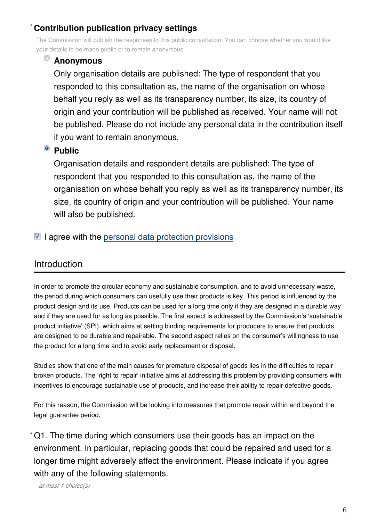#### **Contribution publication privacy settings \***

The Commission will publish the responses to this public consultation. You can choose whether you would like your details to be made public or to remain anonymous.

## **Anonymous**

Only organisation details are published: The type of respondent that you responded to this consultation as, the name of the organisation on whose behalf you reply as well as its transparency number, its size, its country of origin and your contribution will be published as received. Your name will not be published. Please do not include any personal data in the contribution itself if you want to remain anonymous.

## <sup>o</sup> Public

Organisation details and respondent details are published: The type of respondent that you responded to this consultation as, the name of the organisation on whose behalf you reply as well as its transparency number, its size, its country of origin and your contribution will be published. Your name will also be published.

 $\blacksquare$  I agree with the [personal data protection provisions](https://ec.europa.eu/info/law/better-regulation/specific-privacy-statement)

## Introduction

In order to promote the circular economy and sustainable consumption, and to avoid unnecessary waste, the period during which consumers can usefully use their products is key. This period is influenced by the product design and its use. Products can be used for a long time only if they are designed in a durable way and if they are used for as long as possible. The first aspect is addressed by the Commission's 'sustainable product initiative' (SPI), which aims at setting binding requirements for producers to ensure that products are designed to be durable and repairable. The second aspect relies on the consumer's willingness to use the product for a long time and to avoid early replacement or disposal.

Studies show that one of the main causes for premature disposal of goods lies in the difficulties to repair broken products. The 'right to repair' initiative aims at addressing this problem by providing consumers with incentives to encourage sustainable use of products, and increase their ability to repair defective goods.

For this reason, the Commission will be looking into measures that promote repair within and beyond the legal guarantee period.

Q1. The time during which consumers use their goods has an impact on the **\***environment. In particular, replacing goods that could be repaired and used for a longer time might adversely affect the environment. Please indicate if you agree with any of the following statements.

*at most 1 choice(s)*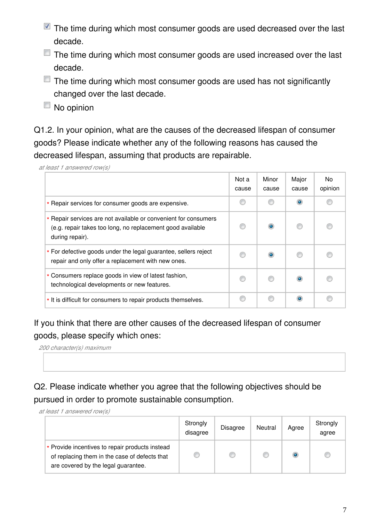- $\blacksquare$  The time during which most consumer goods are used decreased over the last decade.
- $\Box$  The time during which most consumer goods are used increased over the last decade.
- $\Box$  The time during which most consumer goods are used has not significantly changed over the last decade.
- No opinion

Q1.2. In your opinion, what are the causes of the decreased lifespan of consumer goods? Please indicate whether any of the following reasons has caused the decreased lifespan, assuming that products are repairable.

*at least 1 answered row(s)*

|                                                                                                                                                  | Not a<br>cause | Minor<br>cause | Major<br>cause | No.<br>opinion |
|--------------------------------------------------------------------------------------------------------------------------------------------------|----------------|----------------|----------------|----------------|
| * Repair services for consumer goods are expensive.                                                                                              |                |                |                | C              |
| * Repair services are not available or convenient for consumers<br>(e.g. repair takes too long, no replacement good available<br>during repair). |                | $\bullet$      |                |                |
| * For defective goods under the legal guarantee, sellers reject<br>repair and only offer a replacement with new ones.                            |                | ۰              |                |                |
| * Consumers replace goods in view of latest fashion,<br>technological developments or new features.                                              |                |                |                |                |
| * It is difficult for consumers to repair products themselves.                                                                                   |                |                |                |                |

If you think that there are other causes of the decreased lifespan of consumer goods, please specify which ones:

*200 character(s) maximum*

Q2. Please indicate whether you agree that the following objectives should be pursued in order to promote sustainable consumption.

*at least 1 answered row(s)*

|                                                                                                                                         | Strongly<br>disagree | <b>Disagree</b> | Neutral | Agree     | Strongly<br>agree |
|-----------------------------------------------------------------------------------------------------------------------------------------|----------------------|-----------------|---------|-----------|-------------------|
| * Provide incentives to repair products instead<br>of replacing them in the case of defects that<br>are covered by the legal guarantee. |                      |                 |         | $\bullet$ |                   |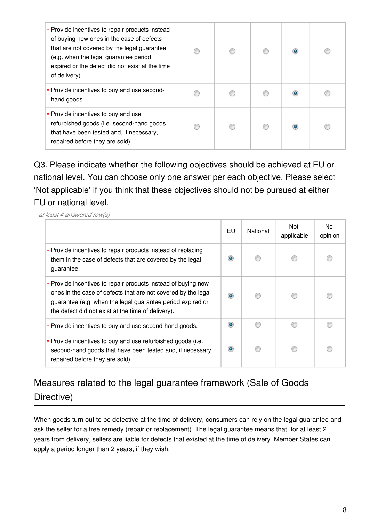| * Provide incentives to repair products instead<br>of buying new ones in the case of defects<br>that are not covered by the legal guarantee<br>(e.g. when the legal guarantee period<br>expired or the defect did not exist at the time<br>of delivery). |  |  |  |
|----------------------------------------------------------------------------------------------------------------------------------------------------------------------------------------------------------------------------------------------------------|--|--|--|
| * Provide incentives to buy and use second-<br>hand goods.                                                                                                                                                                                               |  |  |  |
| * Provide incentives to buy and use<br>refurbished goods (i.e. second-hand goods<br>that have been tested and, if necessary,<br>repaired before they are sold).                                                                                          |  |  |  |

Q3. Please indicate whether the following objectives should be achieved at EU or national level. You can choose only one answer per each objective. Please select 'Not applicable' if you think that these objectives should not be pursued at either EU or national level.

*at least 4 answered row(s)*

|                                                                                                                                                                                                                                                    | EU        | National | Not<br>applicable | No.<br>opinion |
|----------------------------------------------------------------------------------------------------------------------------------------------------------------------------------------------------------------------------------------------------|-----------|----------|-------------------|----------------|
| * Provide incentives to repair products instead of replacing<br>them in the case of defects that are covered by the legal<br>guarantee.                                                                                                            | $\bullet$ |          |                   |                |
| * Provide incentives to repair products instead of buying new<br>ones in the case of defects that are not covered by the legal<br>guarantee (e.g. when the legal guarantee period expired or<br>the defect did not exist at the time of delivery). | $\bullet$ |          |                   |                |
| * Provide incentives to buy and use second-hand goods.                                                                                                                                                                                             | $\bullet$ |          |                   | ß              |
| * Provide incentives to buy and use refurbished goods (i.e.<br>second-hand goods that have been tested and, if necessary,<br>repaired before they are sold).                                                                                       | $\bullet$ |          |                   |                |

## Measures related to the legal guarantee framework (Sale of Goods Directive)

When goods turn out to be defective at the time of delivery, consumers can rely on the legal guarantee and ask the seller for a free remedy (repair or replacement). The legal guarantee means that, for at least 2 years from delivery, sellers are liable for defects that existed at the time of delivery. Member States can apply a period longer than 2 years, if they wish.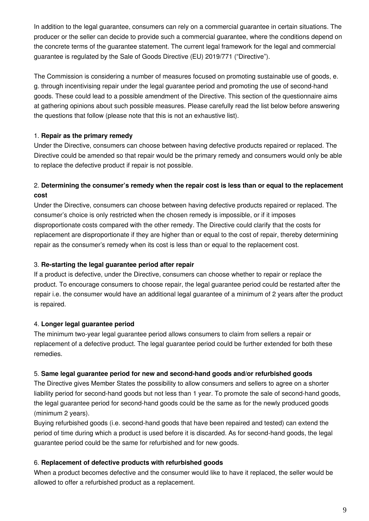In addition to the legal guarantee, consumers can rely on a commercial guarantee in certain situations. The producer or the seller can decide to provide such a commercial guarantee, where the conditions depend on the concrete terms of the guarantee statement. The current legal framework for the legal and commercial guarantee is regulated by the Sale of Goods Directive (EU) 2019/771 ("Directive").

The Commission is considering a number of measures focused on promoting sustainable use of goods, e. g. through incentivising repair under the legal guarantee period and promoting the use of second-hand goods. These could lead to a possible amendment of the Directive. This section of the questionnaire aims at gathering opinions about such possible measures. Please carefully read the list below before answering the questions that follow (please note that this is not an exhaustive list).

#### 1. **Repair as the primary remedy**

Under the Directive, consumers can choose between having defective products repaired or replaced. The Directive could be amended so that repair would be the primary remedy and consumers would only be able to replace the defective product if repair is not possible.

#### 2. **Determining the consumer's remedy when the repair cost is less than or equal to the replacement cost**

Under the Directive, consumers can choose between having defective products repaired or replaced. The consumer's choice is only restricted when the chosen remedy is impossible, or if it imposes disproportionate costs compared with the other remedy. The Directive could clarify that the costs for replacement are disproportionate if they are higher than or equal to the cost of repair, thereby determining repair as the consumer's remedy when its cost is less than or equal to the replacement cost.

#### 3. **Re-starting the legal guarantee period after repair**

If a product is defective, under the Directive, consumers can choose whether to repair or replace the product. To encourage consumers to choose repair, the legal guarantee period could be restarted after the repair i.e. the consumer would have an additional legal guarantee of a minimum of 2 years after the product is repaired.

#### 4. **Longer legal guarantee period**

The minimum two-year legal guarantee period allows consumers to claim from sellers a repair or replacement of a defective product. The legal guarantee period could be further extended for both these remedies.

#### 5. **Same legal guarantee period for new and second-hand goods and/or refurbished goods**

The Directive gives Member States the possibility to allow consumers and sellers to agree on a shorter liability period for second-hand goods but not less than 1 year. To promote the sale of second-hand goods, the legal guarantee period for second-hand goods could be the same as for the newly produced goods (minimum 2 years).

Buying refurbished goods (i.e. second-hand goods that have been repaired and tested) can extend the period of time during which a product is used before it is discarded. As for second-hand goods, the legal guarantee period could be the same for refurbished and for new goods.

#### 6. **Replacement of defective products with refurbished goods**

When a product becomes defective and the consumer would like to have it replaced, the seller would be allowed to offer a refurbished product as a replacement.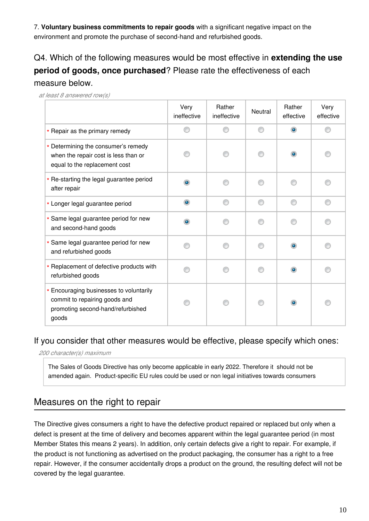7. **Voluntary business commitments to repair goods** with a significant negative impact on the environment and promote the purchase of second-hand and refurbished goods.

Q4. Which of the following measures would be most effective in **extending the use period of goods, once purchased**? Please rate the effectiveness of each measure below.

*at least 8 answered row(s)*

|                                                                                                                        | Very<br>ineffective | Rather<br>ineffective | Neutral | Rather<br>effective | Very<br>effective |
|------------------------------------------------------------------------------------------------------------------------|---------------------|-----------------------|---------|---------------------|-------------------|
| * Repair as the primary remedy                                                                                         |                     |                       |         | ۱                   |                   |
| * Determining the consumer's remedy<br>when the repair cost is less than or<br>equal to the replacement cost           |                     |                       |         | $\bullet$           |                   |
| * Re-starting the legal guarantee period<br>after repair                                                               | ۵                   |                       | ⋒       |                     |                   |
| * Longer legal guarantee period                                                                                        | $\bullet$           |                       | ⋒       |                     |                   |
| * Same legal guarantee period for new<br>and second-hand goods                                                         | $\bullet$           |                       | ∩       |                     |                   |
| * Same legal guarantee period for new<br>and refurbished goods                                                         |                     |                       | ∩       | ۵                   |                   |
| * Replacement of defective products with<br>refurbished goods                                                          |                     |                       | ∩       | ۰                   |                   |
| * Encouraging businesses to voluntarily<br>commit to repairing goods and<br>promoting second-hand/refurbished<br>goods |                     |                       | ⋒       | ۰                   |                   |

### If you consider that other measures would be effective, please specify which ones:

*200 character(s) maximum*

The Sales of Goods Directive has only become applicable in early 2022. Therefore it should not be amended again. Product-specific EU rules could be used or non legal initiatives towards consumers

## Measures on the right to repair

The Directive gives consumers a right to have the defective product repaired or replaced but only when a defect is present at the time of delivery and becomes apparent within the legal guarantee period (in most Member States this means 2 years). In addition, only certain defects give a right to repair. For example, if the product is not functioning as advertised on the product packaging, the consumer has a right to a free repair. However, if the consumer accidentally drops a product on the ground, the resulting defect will not be covered by the legal guarantee.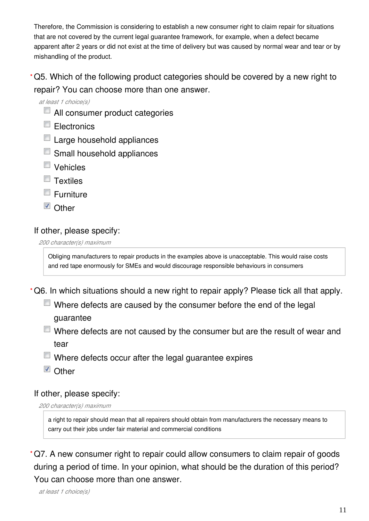Therefore, the Commission is considering to establish a new consumer right to claim repair for situations that are not covered by the current legal guarantee framework, for example, when a defect became apparent after 2 years or did not exist at the time of delivery but was caused by normal wear and tear or by mishandling of the product.

Q5. Which of the following product categories should be covered by a new right to **\*** repair? You can choose more than one answer.

*at least 1 choice(s)*

- **E** All consumer product categories
- Electronics
- Large household appliances
- Small household appliances
- Vehicles
- **Textiles**
- $\blacksquare$  Furniture
- Other

### If other, please specify:

*200 character(s) maximum*

Obliging manufacturers to repair products in the examples above is unacceptable. This would raise costs and red tape enormously for SMEs and would discourage responsible behaviours in consumers

Q6. In which situations should a new right to repair apply? Please tick all that apply. **\***

- $\blacksquare$  Where defects are caused by the consumer before the end of the legal guarantee
- $\blacksquare$  Where defects are not caused by the consumer but are the result of wear and tear
- Where defects occur after the legal guarantee expires
- Other

### If other, please specify:

*200 character(s) maximum*

a right to repair should mean that all repairers should obtain from manufacturers the necessary means to carry out their jobs under fair material and commercial conditions

Q7. A new consumer right to repair could allow consumers to claim repair of goods **\***during a period of time. In your opinion, what should be the duration of this period? You can choose more than one answer.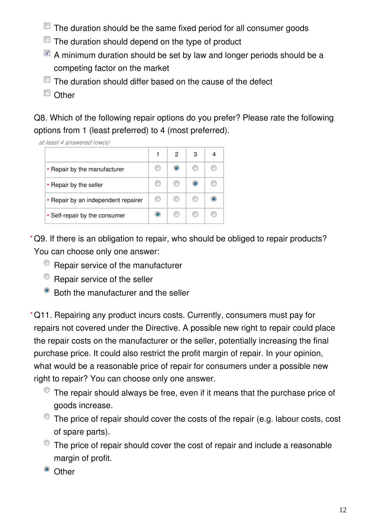- $\Box$  The duration should be the same fixed period for all consumer goods
- $\Box$  The duration should depend on the type of product
- $\blacksquare$  A minimum duration should be set by law and longer periods should be a competing factor on the market
- $\Box$  The duration should differ based on the cause of the defect
- Other

Q8. Which of the following repair options do you prefer? Please rate the following options from 1 (least preferred) to 4 (most preferred).

*at least 4 answered row(s)*

|                                     | 2 | 3 |  |
|-------------------------------------|---|---|--|
| * Repair by the manufacturer        |   |   |  |
| * Repair by the seller              |   |   |  |
| * Repair by an independent repairer |   |   |  |
| * Self-repair by the consumer       |   |   |  |

Q9. If there is an obligation to repair, who should be obliged to repair products? **\*** You can choose only one answer:

- <sup>®</sup> Repair service of the manufacturer
- $\bullet$  Repair service of the seller
- Both the manufacturer and the seller

Q11. Repairing any product incurs costs. Currently, consumers must pay for **\***repairs not covered under the Directive. A possible new right to repair could place the repair costs on the manufacturer or the seller, potentially increasing the final purchase price. It could also restrict the profit margin of repair. In your opinion, what would be a reasonable price of repair for consumers under a possible new right to repair? You can choose only one answer.

- The repair should always be free, even if it means that the purchase price of goods increase.
- The price of repair should cover the costs of the repair (e.g. labour costs, cost of spare parts).
- $\bullet$  The price of repair should cover the cost of repair and include a reasonable margin of profit.
- <sup>o</sup> Other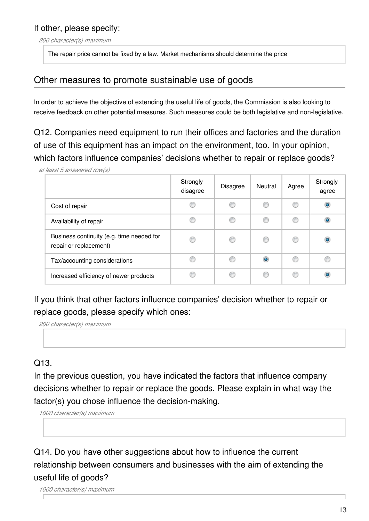*200 character(s) maximum*

The repair price cannot be fixed by a law. Market mechanisms should determine the price

## Other measures to promote sustainable use of goods

In order to achieve the objective of extending the useful life of goods, the Commission is also looking to receive feedback on other potential measures. Such measures could be both legislative and non-legislative.

Q12. Companies need equipment to run their offices and factories and the duration of use of this equipment has an impact on the environment, too. In your opinion, which factors influence companies' decisions whether to repair or replace goods?

*at least 5 answered row(s)*

|                                                                     | Strongly<br>disagree | <b>Disagree</b> | Neutral   | Agree | Strongly<br>agree |
|---------------------------------------------------------------------|----------------------|-----------------|-----------|-------|-------------------|
| Cost of repair                                                      | €                    | O               |           | O     | ۱                 |
| Availability of repair                                              | C                    | C               | €         | O     | $\bullet$         |
| Business continuity (e.g. time needed for<br>repair or replacement) | €                    | C               | ◎         | C     | ۱                 |
| Tax/accounting considerations                                       | C                    | ⋒               | $\bullet$ | €     | €                 |
| Increased efficiency of newer products                              | C                    | C               | €         | O     | $\bullet$         |

If you think that other factors influence companies' decision whether to repair or replace goods, please specify which ones:

*200 character(s) maximum*

### Q13.

In the previous question, you have indicated the factors that influence company decisions whether to repair or replace the goods. Please explain in what way the factor(s) you chose influence the decision-making.

*1000 character(s) maximum*

Q14. Do you have other suggestions about how to influence the current relationship between consumers and businesses with the aim of extending the useful life of goods?

*1000 character(s) maximum*